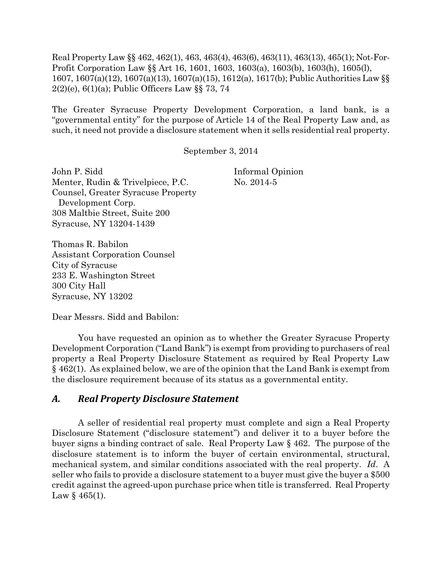Real Property Law §§ 462, 462(1), 463, 463(4), 463(6), 463(11), 463(13), 465(1); Not-For-Profit Corporation Law §§ Art 16, 1601, 1603, 1603(a), 1603(b), 1603(h), 1605(l), 1607, 1607(a)(12), 1607(a)(13), 1607(a)(15), 1612(a), 1617(b); Public Authorities Law §§ 2(2)(e), 6(1)(a); Public Officers Law §§ 73, 74

The Greater Syracuse Property Development Corporation, a land bank, is a "governmental entity" for the purpose of Article 14 of the Real Property Law and, as such, it need not provide a disclosure statement when it sells residential real property.

September 3, 2014

John P. Sidd Informal Opinion Menter, Rudin & Trivelpiece, P.C. No. 2014-5 Counsel, Greater Syracuse Property Development Corp. 308 Maltbie Street, Suite 200 Syracuse, NY 13204-1439

Thomas R. Babilon Assistant Corporation Counsel City of Syracuse 233 E. Washington Street 300 City Hall Syracuse, NY 13202

Dear Messrs. Sidd and Babilon:

You have requested an opinion as to whether the Greater Syracuse Property Development Corporation ("Land Bank") is exempt from providing to purchasers of real property a Real Property Disclosure Statement as required by Real Property Law § 462(1). As explained below, we are of the opinion that the Land Bank is exempt from the disclosure requirement because of its status as a governmental entity.

## *A. Real Property Disclosure Statement*

A seller of residential real property must complete and sign a Real Property Disclosure Statement ("disclosure statement") and deliver it to a buyer before the buyer signs a binding contract of sale. Real Property Law § 462. The purpose of the disclosure statement is to inform the buyer of certain environmental, structural, mechanical system, and similar conditions associated with the real property. *Id*. A seller who fails to provide a disclosure statement to a buyer must give the buyer a \$500 credit against the agreed-upon purchase price when title is transferred. Real Property Law  $§$  465(1).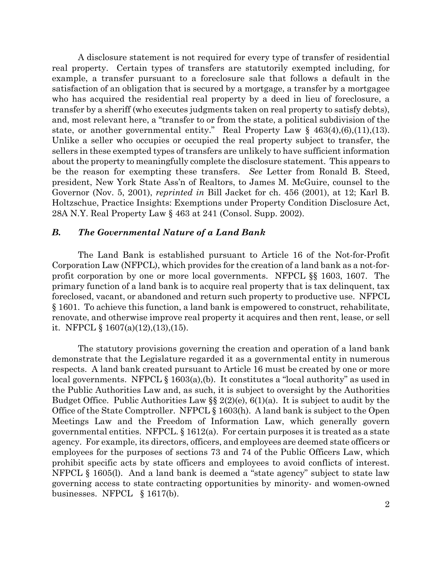A disclosure statement is not required for every type of transfer of residential real property. Certain types of transfers are statutorily exempted including, for example, a transfer pursuant to a foreclosure sale that follows a default in the satisfaction of an obligation that is secured by a mortgage, a transfer by a mortgagee who has acquired the residential real property by a deed in lieu of foreclosure, a transfer by a sheriff (who executes judgments taken on real property to satisfy debts), and, most relevant here, a "transfer to or from the state, a political subdivision of the state, or another governmental entity." Real Property Law  $\S$  463(4),(6),(11),(13). Unlike a seller who occupies or occupied the real property subject to transfer, the sellers in these exempted types of transfers are unlikely to have sufficient information about the property to meaningfully complete the disclosure statement. This appears to be the reason for exempting these transfers. *See* Letter from Ronald B. Steed, president, New York State Ass'n of Realtors, to James M. McGuire, counsel to the Governor (Nov. 5, 2001), *reprinted in* Bill Jacket for ch. 456 (2001), at 12; Karl B. Holtzschue, Practice Insights: Exemptions under Property Condition Disclosure Act, 28A N.Y. Real Property Law § 463 at 241 (Consol. Supp. 2002).

## *B. The Governmental Nature of a Land Bank*

The Land Bank is established pursuant to Article 16 of the Not-for-Profit Corporation Law (NFPCL), which provides for the creation of a land bank as a not-forprofit corporation by one or more local governments. NFPCL §§ 1603, 1607. The primary function of a land bank is to acquire real property that is tax delinquent, tax foreclosed, vacant, or abandoned and return such property to productive use. NFPCL § 1601. To achieve this function, a land bank is empowered to construct, rehabilitate, renovate, and otherwise improve real property it acquires and then rent, lease, or sell it. NFPCL  $\S 1607(a)(12),(13),(15)$ .

The statutory provisions governing the creation and operation of a land bank demonstrate that the Legislature regarded it as a governmental entity in numerous respects. A land bank created pursuant to Article 16 must be created by one or more local governments. NFPCL § 1603(a),(b). It constitutes a "local authority" as used in the Public Authorities Law and, as such, it is subject to oversight by the Authorities Budget Office. Public Authorities Law  $\S$   $2(2)(e)$ ,  $6(1)(a)$ . It is subject to audit by the Office of the State Comptroller. NFPCL § 1603(h). A land bank is subject to the Open Meetings Law and the Freedom of Information Law, which generally govern governmental entities. NFPCL. § 1612(a). For certain purposes it is treated as a state agency. For example, its directors, officers, and employees are deemed state officers or employees for the purposes of sections 73 and 74 of the Public Officers Law, which prohibit specific acts by state officers and employees to avoid conflicts of interest. NFPCL § 1605(l). And a land bank is deemed a "state agency" subject to state law governing access to state contracting opportunities by minority- and women-owned businesses. NFPCL § 1617(b).